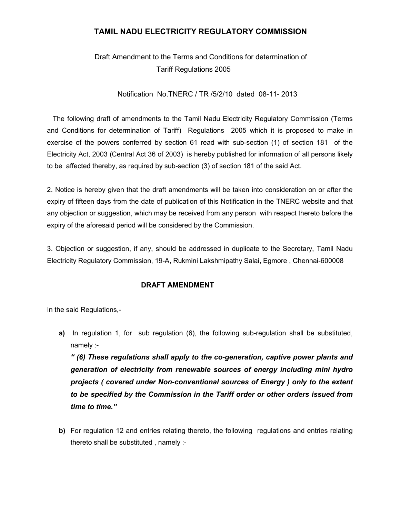### TAMIL NADU ELECTRICITY REGULATORY COMMISSION

# Draft Amendment to the Terms and Conditions for determination of Tariff Regulations 2005

Notification No.TNERC / TR /5/2/10 dated 08-11- 2013

 The following draft of amendments to the Tamil Nadu Electricity Regulatory Commission (Terms and Conditions for determination of Tariff) Regulations 2005 which it is proposed to make in exercise of the powers conferred by section 61 read with sub-section (1) of section 181 of the Electricity Act, 2003 (Central Act 36 of 2003) is hereby published for information of all persons likely to be affected thereby, as required by sub-section (3) of section 181 of the said Act.

2. Notice is hereby given that the draft amendments will be taken into consideration on or after the expiry of fifteen days from the date of publication of this Notification in the TNERC website and that any objection or suggestion, which may be received from any person with respect thereto before the expiry of the aforesaid period will be considered by the Commission.

3. Objection or suggestion, if any, should be addressed in duplicate to the Secretary, Tamil Nadu Electricity Regulatory Commission, 19-A, Rukmini Lakshmipathy Salai, Egmore , Chennai-600008

#### DRAFT AMENDMENT

In the said Regulations,-

a) In regulation 1, for sub regulation (6), the following sub-regulation shall be substituted, namely :-

" (6) These regulations shall apply to the co-generation, captive power plants and generation of electricity from renewable sources of energy including mini hydro projects ( covered under Non-conventional sources of Energy ) only to the extent to be specified by the Commission in the Tariff order or other orders issued from time to time."

b) For regulation 12 and entries relating thereto, the following regulations and entries relating thereto shall be substituted , namely :-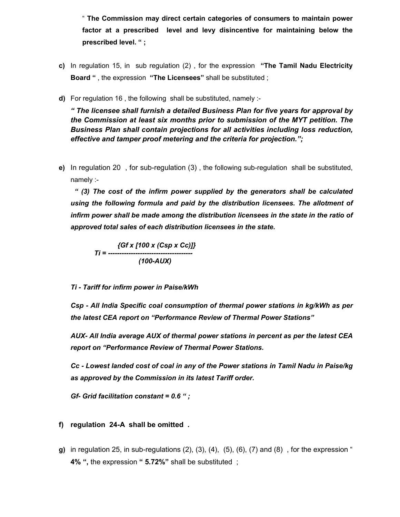" The Commission may direct certain categories of consumers to maintain power factor at a prescribed level and levy disincentive for maintaining below the prescribed level. " ;

- c) In regulation 15, in sub regulation (2), for the expression "The Tamil Nadu Electricity Board ", the expression "The Licensees" shall be substituted;
- d) For regulation 16 , the following shall be substituted, namely :-

" The licensee shall furnish a detailed Business Plan for five years for approval by the Commission at least six months prior to submission of the MYT petition. The Business Plan shall contain projections for all activities including loss reduction, effective and tamper proof metering and the criteria for projection.";

e) In regulation 20 , for sub-regulation (3) , the following sub-regulation shall be substituted, namely :-

" (3) The cost of the infirm power supplied by the generators shall be calculated using the following formula and paid by the distribution licensees. The allotment of infirm power shall be made among the distribution licensees in the state in the ratio of approved total sales of each distribution licensees in the state.

{Gf x [100 x (Csp x Cc)]} Ti = ------------------------------------- (100-AUX)

#### Ti - Tariff for infirm power in Paise/kWh

Csp - All India Specific coal consumption of thermal power stations in kg/kWh as per the latest CEA report on "Performance Review of Thermal Power Stations"

AUX- All India average AUX of thermal power stations in percent as per the latest CEA report on "Performance Review of Thermal Power Stations.

Cc - Lowest landed cost of coal in any of the Power stations in Tamil Nadu in Paise/kg as approved by the Commission in its latest Tariff order.

Gf- Grid facilitation constant =  $0.6$  ";

#### f) regulation 24-A shall be omitted .

g) in regulation 25, in sub-regulations  $(2)$ ,  $(3)$ ,  $(4)$ ,  $(5)$ ,  $(6)$ ,  $(7)$  and  $(8)$ , for the expression " 4% ", the expression " 5.72%" shall be substituted ;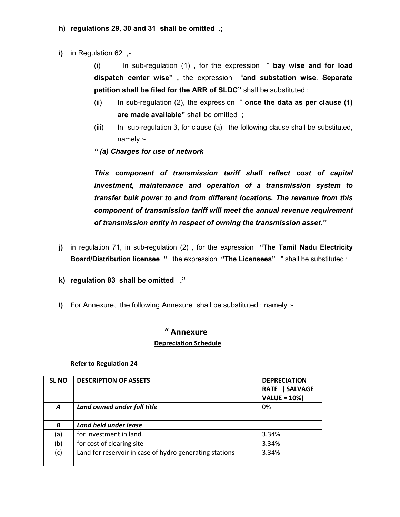### h) regulations 29, 30 and 31 shall be omitted .;

i) in Regulation 62 ,-

(i) In sub-regulation (1) , for the expression " bay wise and for load dispatch center wise" , the expression "and substation wise. Separate petition shall be filed for the ARR of SLDC" shall be substituted ;

- (ii) In sub-regulation (2), the expression " once the data as per clause (1) are made available" shall be omitted ;
- (iii) In sub-regulation 3, for clause (a), the following clause shall be substituted, namely :-
- " (a) Charges for use of network

This component of transmission tariff shall reflect cost of capital investment, maintenance and operation of a transmission system to transfer bulk power to and from different locations. The revenue from this component of transmission tariff will meet the annual revenue requirement of transmission entity in respect of owning the transmission asset."

- j) in regulation 71, in sub-regulation (2), for the expression "The Tamil Nadu Electricity Board/Distribution licensee ", the expression "The Licensees" .;" shall be substituted ;
- k) regulation 83 shall be omitted ."
- l) For Annexure, the following Annexure shall be substituted ; namely :-

## " Annexure Depreciation Schedule

#### Refer to Regulation 24

| <b>SLNO</b> | <b>DESCRIPTION OF ASSETS</b>                            | <b>DEPRECIATION</b><br>RATE (SALVAGE<br><b>VALUE = 10%)</b> |
|-------------|---------------------------------------------------------|-------------------------------------------------------------|
| A           | Land owned under full title                             | 0%                                                          |
|             |                                                         |                                                             |
| B           | Land held under lease                                   |                                                             |
| (a)         | for investment in land.                                 | 3.34%                                                       |
| (b)         | for cost of clearing site                               | 3.34%                                                       |
| (c)         | Land for reservoir in case of hydro generating stations | 3.34%                                                       |
|             |                                                         |                                                             |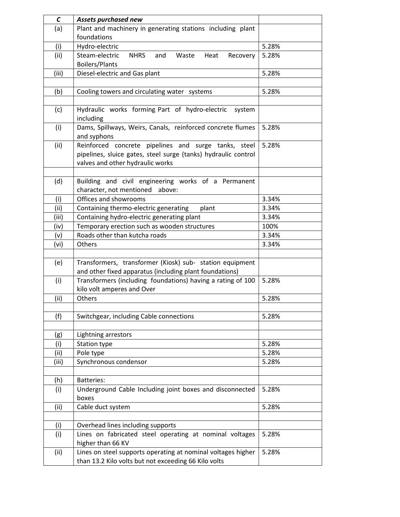| $\mathcal C$ | Assets purchased new                                              |       |
|--------------|-------------------------------------------------------------------|-------|
| (a)          | Plant and machinery in generating stations including plant        |       |
|              | foundations                                                       |       |
| (i)          | Hydro-electric                                                    | 5.28% |
| (ii)         | Steam-electric<br><b>NHRS</b><br>and<br>Waste<br>Heat<br>Recovery | 5.28% |
|              | <b>Boilers/Plants</b>                                             |       |
| (iii)        | Diesel-electric and Gas plant                                     | 5.28% |
|              |                                                                   |       |
| (b)          | Cooling towers and circulating water systems                      | 5.28% |
|              |                                                                   |       |
| (c)          | Hydraulic works forming Part of hydro-electric<br>system          |       |
|              | including                                                         |       |
| (i)          | Dams, Spillways, Weirs, Canals, reinforced concrete flumes        | 5.28% |
|              | and syphons                                                       |       |
| (ii)         | Reinforced concrete pipelines and surge tanks, steel              | 5.28% |
|              | pipelines, sluice gates, steel surge (tanks) hydraulic control    |       |
|              | valves and other hydraulic works                                  |       |
|              |                                                                   |       |
| (d)          | Building and civil engineering works of a Permanent               |       |
|              | character, not mentioned above:                                   |       |
| (i)          | Offices and showrooms                                             | 3.34% |
| (ii)         | Containing thermo-electric generating<br>plant                    | 3.34% |
| (iii)        | Containing hydro-electric generating plant                        | 3.34% |
| (iv)         | Temporary erection such as wooden structures                      | 100%  |
| (v)          | Roads other than kutcha roads                                     | 3.34% |
| (vi)         | Others                                                            | 3.34% |
|              |                                                                   |       |
| (e)          | Transformers, transformer (Kiosk) sub- station equipment          |       |
|              | and other fixed apparatus (including plant foundations)           |       |
| (i)          | Transformers (including foundations) having a rating of 100       | 5.28% |
|              | kilo volt amperes and Over                                        |       |
| (ii)         | Others                                                            | 5.28% |
|              |                                                                   |       |
| (f)          | Switchgear, including Cable connections                           | 5.28% |
|              |                                                                   |       |
| (g)          | Lightning arrestors                                               |       |
| (i)          | <b>Station type</b>                                               | 5.28% |
| (ii)         | Pole type                                                         | 5.28% |
| (iii)        | Synchronous condensor                                             | 5.28% |
|              |                                                                   |       |
| (h)          | <b>Batteries:</b>                                                 |       |
| (i)          | Underground Cable Including joint boxes and disconnected          | 5.28% |
|              | boxes                                                             |       |
| (ii)         | Cable duct system                                                 | 5.28% |
|              |                                                                   |       |
| (i)          | Overhead lines including supports                                 |       |
| (i)          | Lines on fabricated steel operating at nominal voltages           | 5.28% |
|              | higher than 66 KV                                                 |       |
| (ii)         | Lines on steel supports operating at nominal voltages higher      | 5.28% |
|              | than 13.2 Kilo volts but not exceeding 66 Kilo volts              |       |